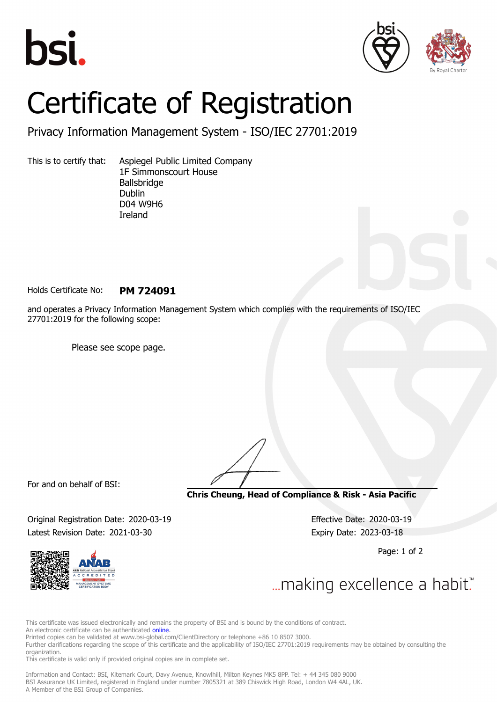





## Certificate of Registration

Privacy Information Management System - ISO/IEC 27701:2019

This is to certify that: Aspiegel Public Limited Company 1F Simmonscourt House Ballsbridge Dublin D04 W9H6 Ireland

Holds Certificate No: **PM 724091**

and operates a Privacy Information Management System which complies with the requirements of ISO/IEC 27701:2019 for the following scope:

Please see scope page.

For and on behalf of BSI:

**Chris Cheung, Head of Compliance & Risk - Asia Pacific**

Original Registration Date: 2020-03-19 Effective Date: 2020-03-19 Latest Revision Date: 2021-03-30 Expiry Date: 2023-03-18

Page: 1 of 2



... making excellence a habit."

This certificate was issued electronically and remains the property of BSI and is bound by the conditions of contract.

An electronic certificate can be authenticated **[online](https://pgplus.bsigroup.com/CertificateValidation/CertificateValidator.aspx?CertificateNumber=PM+724091&ReIssueDate=30%2f03%2f2021&Template=cnen)**.

Printed copies can be validated at www.bsi-global.com/ClientDirectory or telephone +86 10 8507 3000.

Further clarifications regarding the scope of this certificate and the applicability of ISO/IEC 27701:2019 requirements may be obtained by consulting the organization.

This certificate is valid only if provided original copies are in complete set.

Information and Contact: BSI, Kitemark Court, Davy Avenue, Knowlhill, Milton Keynes MK5 8PP. Tel: + 44 345 080 9000 BSI Assurance UK Limited, registered in England under number 7805321 at 389 Chiswick High Road, London W4 4AL, UK. A Member of the BSI Group of Companies.